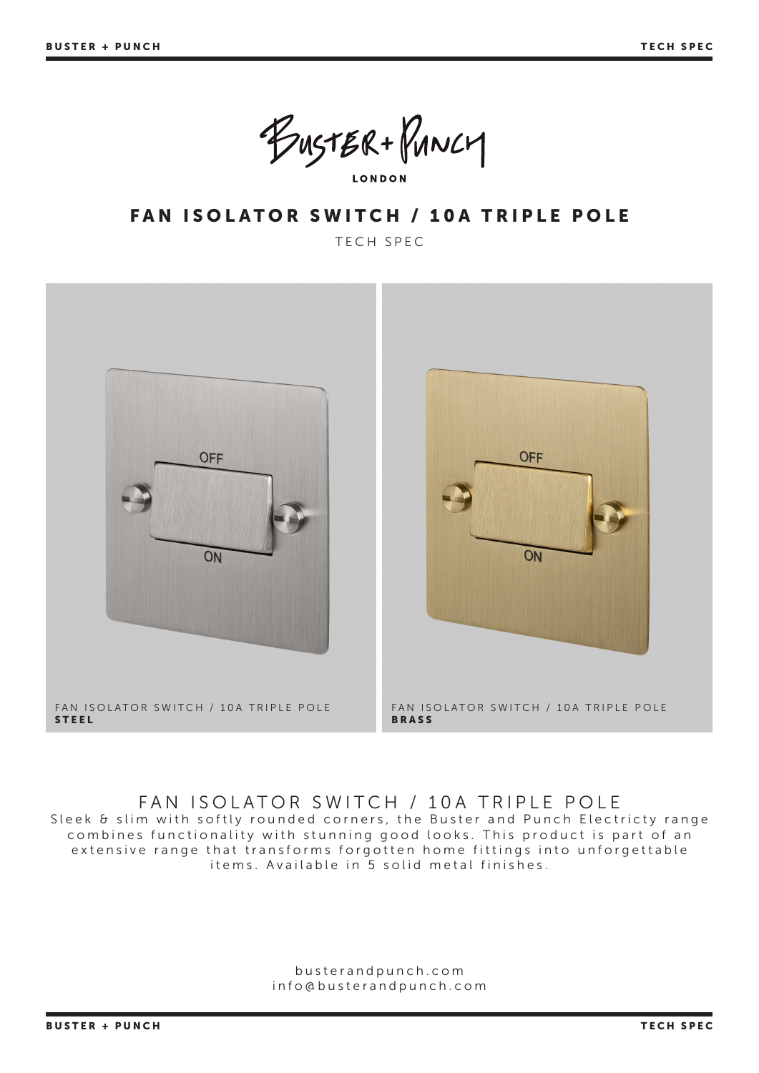BUSTER+PUNCY **LONDON** 

FAN ISOLATOR SWITCH / 10A TRIPLE POLE

TECH SPEC



### FAN ISOLATOR SWITCH / 10A TRIPLE POLE

Sleek & slim with softly rounded corners, the Buster and Punch Electricty range combines functionality with stunning good looks. This product is part of an extensive range that transforms forgotten home fittings into unforgettable items. Available in 5 solid metal finishes.

> busterandpunch.com info@busterandpunch.com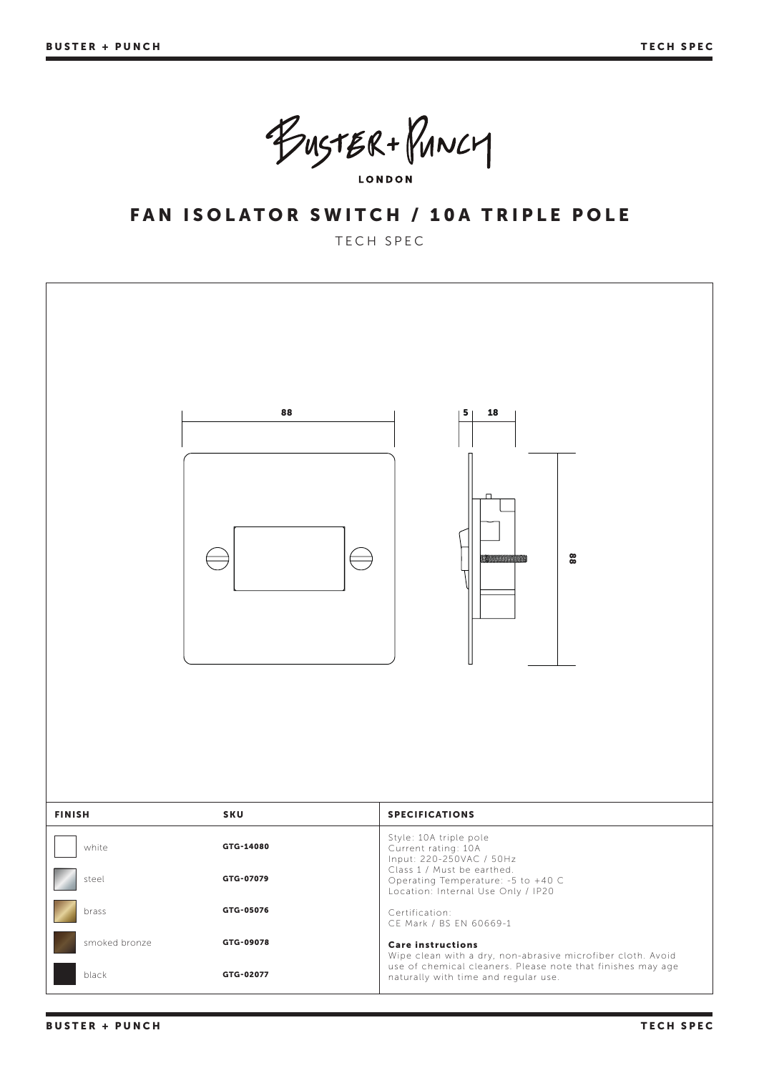BUSTER+PUNCY **LONDON** 

## FAN ISOLATOR SWITCH / 10A TRIPLE POLE

#### TECH SPEC